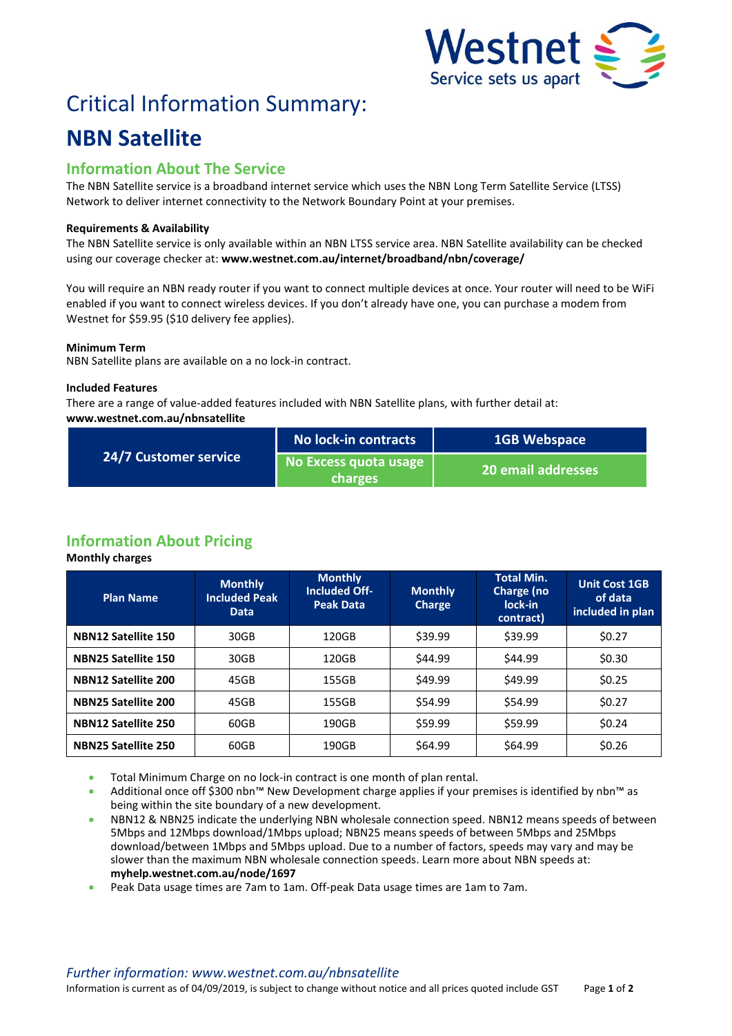

# Critical Information Summary:

# **NBN Satellite**

## **Information About The Service**

The NBN Satellite service is a broadband internet service which uses the NBN Long Term Satellite Service (LTSS) Network to deliver internet connectivity to the Network Boundary Point at your premises.

#### **Requirements & Availability**

The NBN Satellite service is only available within an NBN LTSS service area. NBN Satellite availability can be checked using our coverage checker at: **www.westnet.com.au/internet/broadband/nbn/coverage/**

You will require an NBN ready router if you want to connect multiple devices at once. Your router will need to be WiFi enabled if you want to connect wireless devices. If you don't already have one, you can purchase a modem from Westnet for \$59.95 (\$10 delivery fee applies).

#### **Minimum Term**

NBN Satellite plans are available on a no lock-in contract.

#### **Included Features**

There are a range of value-added features included with NBN Satellite plans, with further detail at: **www.westnet.com.au/nbnsatellite**

| 24/7 Customer service | No lock-in contracts                    | <b>1GB Webspace</b>       |  |
|-----------------------|-----------------------------------------|---------------------------|--|
|                       | No Excess quota usage<br><b>charges</b> | <b>20 email addresses</b> |  |

# **Information About Pricing**

**Monthly charges**

| <b>Plan Name</b>           | <b>Monthly</b><br><b>Included Peak</b><br><b>Data</b> | <b>Monthly</b><br><b>Included Off-</b><br><b>Peak Data</b> | <b>Monthly</b><br>Charge | <b>Total Min.</b><br>Charge (no<br>lock-in<br>contract) | <b>Unit Cost 1GB</b><br>of data<br>included in plan |
|----------------------------|-------------------------------------------------------|------------------------------------------------------------|--------------------------|---------------------------------------------------------|-----------------------------------------------------|
| <b>NBN12 Satellite 150</b> | 30GB                                                  | 120GB                                                      | \$39.99                  | \$39.99                                                 | \$0.27                                              |
| <b>NBN25 Satellite 150</b> | 30GB                                                  | 120GB                                                      | \$44.99                  | \$44.99                                                 | \$0.30                                              |
| <b>NBN12 Satellite 200</b> | 45GB                                                  | 155GB                                                      | \$49.99                  | \$49.99                                                 | \$0.25                                              |
| <b>NBN25 Satellite 200</b> | 45GB                                                  | 155GB                                                      | \$54.99                  | \$54.99                                                 | \$0.27                                              |
| <b>NBN12 Satellite 250</b> | 60GB                                                  | 190GB                                                      | \$59.99                  | \$59.99                                                 | \$0.24                                              |
| <b>NBN25 Satellite 250</b> | 60GB                                                  | 190GB                                                      | \$64.99                  | \$64.99                                                 | \$0.26                                              |

- **Total Minimum Charge on no lock-in contract is one month of plan rental.**
- Additional once off \$300 nbn™ New Development charge applies if your premises is identified by nbn™ as being within the site boundary of a new development.
- NBN12 & NBN25 indicate the underlying NBN wholesale connection speed. NBN12 means speeds of between 5Mbps and 12Mbps download/1Mbps upload; NBN25 means speeds of between 5Mbps and 25Mbps download/between 1Mbps and 5Mbps upload. Due to a number of factors, speeds may vary and may be slower than the maximum NBN wholesale connection speeds. Learn more about NBN speeds at: **myhelp.westnet.com.au/node/1697**
- Peak Data usage times are 7am to 1am. Off-peak Data usage times are 1am to 7am.